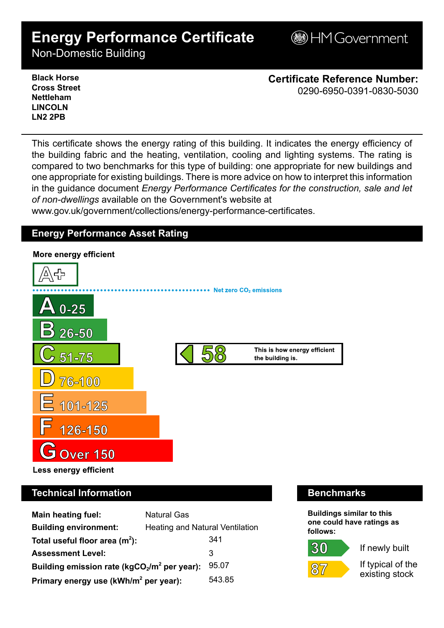# **Energy Performance Certificate**

**BHM Government** 

Non-Domestic Building

**Black Horse Cross Street Nettleham LINCOLN LN2 2PB**

**Certificate Reference Number:** 0290-6950-0391-0830-5030

This certificate shows the energy rating of this building. It indicates the energy efficiency of the building fabric and the heating, ventilation, cooling and lighting systems. The rating is compared to two benchmarks for this type of building: one appropriate for new buildings and one appropriate for existing buildings. There is more advice on how to interpret this information in the guidance document *Energy Performance Certificates for the construction, sale and let of non-dwellings* available on the Government's website at

www.gov.uk/government/collections/energy-performance-certificates.

## **Energy Performance Asset Rating**



# **Technical Information Benchmarks**

| <b>Main heating fuel:</b>                         | <b>Natural Gas</b>              |        |
|---------------------------------------------------|---------------------------------|--------|
| <b>Building environment:</b>                      | Heating and Natural Ventilation |        |
| Total useful floor area $(m2)$ :                  |                                 | 341    |
| <b>Assessment Level:</b>                          |                                 | 3      |
| Building emission rate ( $kgCO2/m2$ per year):    |                                 | 95.07  |
| Primary energy use (kWh/m <sup>2</sup> per year): |                                 | 543.85 |

**Buildings similar to this one could have ratings as follows:**



 $87$ 



If typical of the existing stock